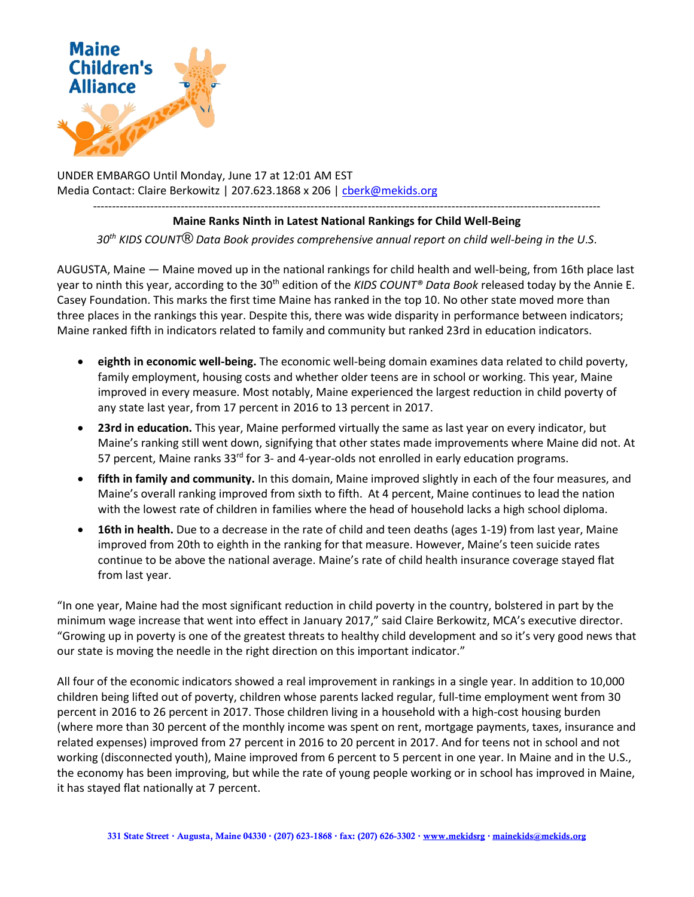

UNDER EMBARGO Until Monday, June 17 at 12:01 AM EST Media Contact: Claire Berkowitz | 207.623.1868 x 206 | [cberk@mekids.org](mailto:cberk@mekids.org)

------------------------------------------------------------------------------------------------------------------------------------- **Maine Ranks Ninth in Latest National Rankings for Child Well-Being**

*30th KIDS COUNT® Data Book provides comprehensive annual report on child well-being in the U*.*S*.

AUGUSTA, Maine — Maine moved up in the national rankings for child health and well-being, from 16th place last year to ninth this year, according to the 30th edition of the *KIDS COUNT® Data Book* released today by the Annie E. Casey Foundation. This marks the first time Maine has ranked in the top 10. No other state moved more than three places in the rankings this year. Despite this, there was wide disparity in performance between indicators; Maine ranked fifth in indicators related to family and community but ranked 23rd in education indicators.

- **eighth in economic well-being.** The economic well-being domain examines data related to child poverty, family employment, housing costs and whether older teens are in school or working. This year, Maine improved in every measure. Most notably, Maine experienced the largest reduction in child poverty of any state last year, from 17 percent in 2016 to 13 percent in 2017.
- **23rd in education.** This year, Maine performed virtually the same as last year on every indicator, but Maine's ranking still went down, signifying that other states made improvements where Maine did not. At 57 percent, Maine ranks  $33<sup>rd</sup>$  for 3- and 4-year-olds not enrolled in early education programs.
- **fifth in family and community.** In this domain, Maine improved slightly in each of the four measures, and Maine's overall ranking improved from sixth to fifth. At 4 percent, Maine continues to lead the nation with the lowest rate of children in families where the head of household lacks a high school diploma.
- **16th in health.** Due to a decrease in the rate of child and teen deaths (ages 1-19) from last year, Maine improved from 20th to eighth in the ranking for that measure. However, Maine's teen suicide rates continue to be above the national average. Maine's rate of child health insurance coverage stayed flat from last year.

"In one year, Maine had the most significant reduction in child poverty in the country, bolstered in part by the minimum wage increase that went into effect in January 2017," said Claire Berkowitz, MCA's executive director. "Growing up in poverty is one of the greatest threats to healthy child development and so it's very good news that our state is moving the needle in the right direction on this important indicator."

All four of the economic indicators showed a real improvement in rankings in a single year. In addition to 10,000 children being lifted out of poverty, children whose parents lacked regular, full-time employment went from 30 percent in 2016 to 26 percent in 2017. Those children living in a household with a high-cost housing burden (where more than 30 percent of the monthly income was spent on rent, mortgage payments, taxes, insurance and related expenses) improved from 27 percent in 2016 to 20 percent in 2017. And for teens not in school and not working (disconnected youth), Maine improved from 6 percent to 5 percent in one year. In Maine and in the U.S., the economy has been improving, but while the rate of young people working or in school has improved in Maine, it has stayed flat nationally at 7 percent.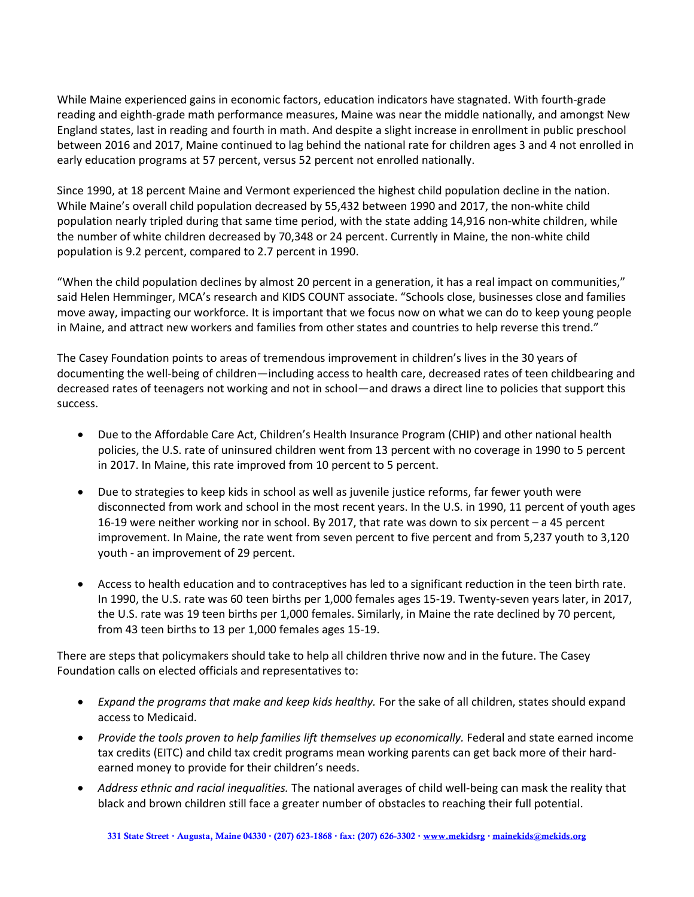While Maine experienced gains in economic factors, education indicators have stagnated. With fourth-grade reading and eighth-grade math performance measures, Maine was near the middle nationally, and amongst New England states, last in reading and fourth in math. And despite a slight increase in enrollment in public preschool between 2016 and 2017, Maine continued to lag behind the national rate for children ages 3 and 4 not enrolled in early education programs at 57 percent, versus 52 percent not enrolled nationally.

Since 1990, at 18 percent Maine and Vermont experienced the highest child population decline in the nation. While Maine's overall child population decreased by 55,432 between 1990 and 2017, the non-white child population nearly tripled during that same time period, with the state adding 14,916 non-white children, while the number of white children decreased by 70,348 or 24 percent. Currently in Maine, the non-white child population is 9.2 percent, compared to 2.7 percent in 1990.

"When the child population declines by almost 20 percent in a generation, it has a real impact on communities," said Helen Hemminger, MCA's research and KIDS COUNT associate. "Schools close, businesses close and families move away, impacting our workforce. It is important that we focus now on what we can do to keep young people in Maine, and attract new workers and families from other states and countries to help reverse this trend."

The Casey Foundation points to areas of tremendous improvement in children's lives in the 30 years of documenting the well-being of children—including access to health care, decreased rates of teen childbearing and decreased rates of teenagers not working and not in school—and draws a direct line to policies that support this success.

- Due to the Affordable Care Act, Children's Health Insurance Program (CHIP) and other national health policies, the U.S. rate of uninsured children went from 13 percent with no coverage in 1990 to 5 percent in 2017. In Maine, this rate improved from 10 percent to 5 percent.
- Due to strategies to keep kids in school as well as juvenile justice reforms, far fewer youth were disconnected from work and school in the most recent years. In the U.S. in 1990, 11 percent of youth ages 16-19 were neither working nor in school. By 2017, that rate was down to six percent – a 45 percent improvement. In Maine, the rate went from seven percent to five percent and from 5,237 youth to 3,120 youth - an improvement of 29 percent.
- Access to health education and to contraceptives has led to a significant reduction in the teen birth rate. In 1990, the U.S. rate was 60 teen births per 1,000 females ages 15-19. Twenty-seven years later, in 2017, the U.S. rate was 19 teen births per 1,000 females. Similarly, in Maine the rate declined by 70 percent, from 43 teen births to 13 per 1,000 females ages 15-19.

There are steps that policymakers should take to help all children thrive now and in the future. The Casey Foundation calls on elected officials and representatives to:

- *Expand the programs that make and keep kids healthy.* For the sake of all children, states should expand access to Medicaid.
- *Provide the tools proven to help families lift themselves up economically.* Federal and state earned income tax credits (EITC) and child tax credit programs mean working parents can get back more of their hardearned money to provide for their children's needs.
- *Address ethnic and racial inequalities.* The national averages of child well-being can mask the reality that black and brown children still face a greater number of obstacles to reaching their full potential.